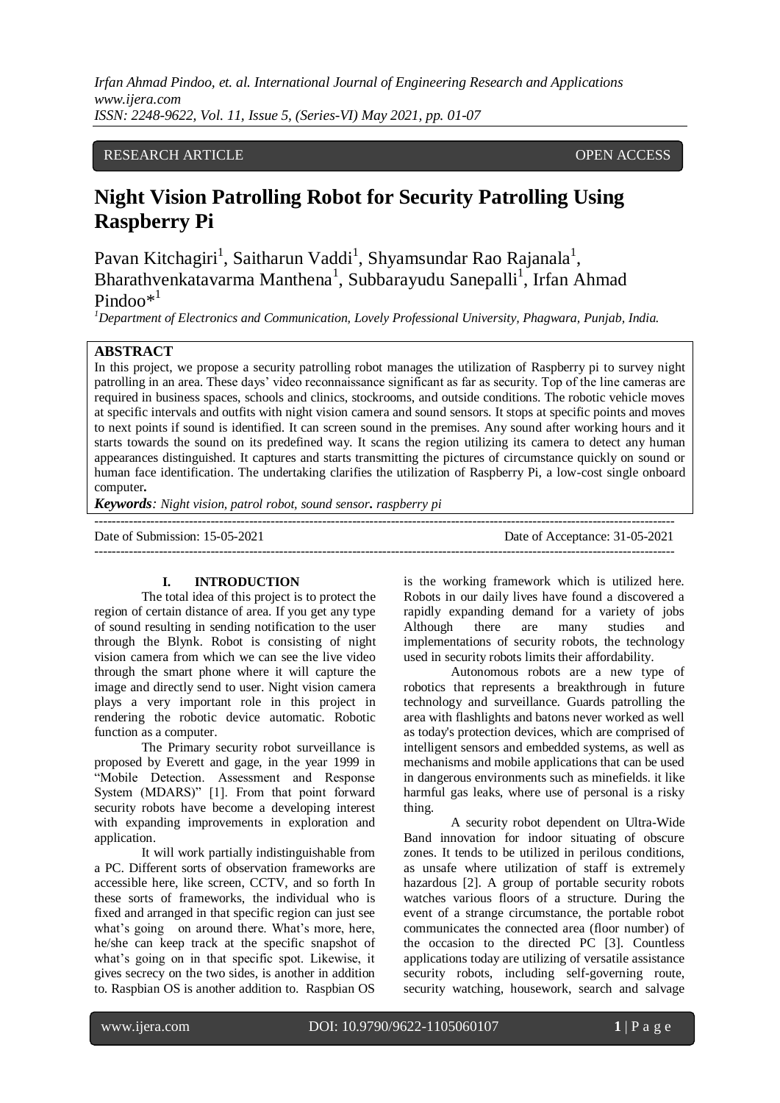# RESEARCH ARTICLE **OPEN ACCESS**

# **Night Vision Patrolling Robot for Security Patrolling Using Raspberry Pi**

Pavan Kitchagiri<sup>1</sup>, Saitharun Vaddi<sup>1</sup>, Shyamsundar Rao Rajanala<sup>1</sup>, Bharathvenkatavarma Manthena<sup>1</sup>, Subbarayudu Sanepalli<sup>1</sup>, Irfan Ahmad Pindoo $*^1$ 

*<sup>1</sup>Department of Electronics and Communication, Lovely Professional University, Phagwara, Punjab, India.*

#### **ABSTRACT**

In this project, we propose a security patrolling robot manages the utilization of Raspberry pi to survey night patrolling in an area. These days' video reconnaissance significant as far as security. Top of the line cameras are required in business spaces, schools and clinics, stockrooms, and outside conditions. The robotic vehicle moves at specific intervals and outfits with night vision camera and sound sensors. It stops at specific points and moves to next points if sound is identified. It can screen sound in the premises. Any sound after working hours and it starts towards the sound on its predefined way. It scans the region utilizing its camera to detect any human appearances distinguished. It captures and starts transmitting the pictures of circumstance quickly on sound or human face identification. The undertaking clarifies the utilization of Raspberry Pi, a low-cost single onboard computer*.*

---------------------------------------------------------------------------------------------------------------------------------------

*Keywords: Night vision, patrol robot, sound sensor. raspberry pi*

Date of Submission: 15-05-2021 Date of Acceptance: 31-05-2021

---------------------------------------------------------------------------------------------------------------------------------------

#### **I. INTRODUCTION**

The total idea of this project is to protect the region of certain distance of area. If you get any type of sound resulting in sending notification to the user through the Blynk. Robot is consisting of night vision camera from which we can see the live video through the smart phone where it will capture the image and directly send to user. Night vision camera plays a very important role in this project in rendering the robotic device automatic. Robotic function as a computer.

The Primary security robot surveillance is proposed by Everett and gage, in the year 1999 in "Mobile Detection. Assessment and Response System (MDARS)" [1]. From that point forward security robots have become a developing interest with expanding improvements in exploration and application.

It will work partially indistinguishable from a PC. Different sorts of observation frameworks are accessible here, like screen, CCTV, and so forth In these sorts of frameworks, the individual who is fixed and arranged in that specific region can just see what's going on around there. What's more, here, he/she can keep track at the specific snapshot of what's going on in that specific spot. Likewise, it gives secrecy on the two sides, is another in addition to. Raspbian OS is another addition to. Raspbian OS is the working framework which is utilized here. Robots in our daily lives have found a discovered a rapidly expanding demand for a variety of jobs Although there are many studies and implementations of security robots, the technology used in security robots limits their affordability.

Autonomous robots are a new type of robotics that represents a breakthrough in future technology and surveillance. Guards patrolling the area with flashlights and batons never worked as well as today's protection devices, which are comprised of intelligent sensors and embedded systems, as well as mechanisms and mobile applications that can be used in dangerous environments such as minefields. it like harmful gas leaks, where use of personal is a risky thing.

A security robot dependent on Ultra-Wide Band innovation for indoor situating of obscure zones. It tends to be utilized in perilous conditions, as unsafe where utilization of staff is extremely hazardous [2]. A group of portable security robots watches various floors of a structure. During the event of a strange circumstance, the portable robot communicates the connected area (floor number) of the occasion to the directed PC [3]. Countless applications today are utilizing of versatile assistance security robots, including self-governing route, security watching, housework, search and salvage

ֺ֞֝֡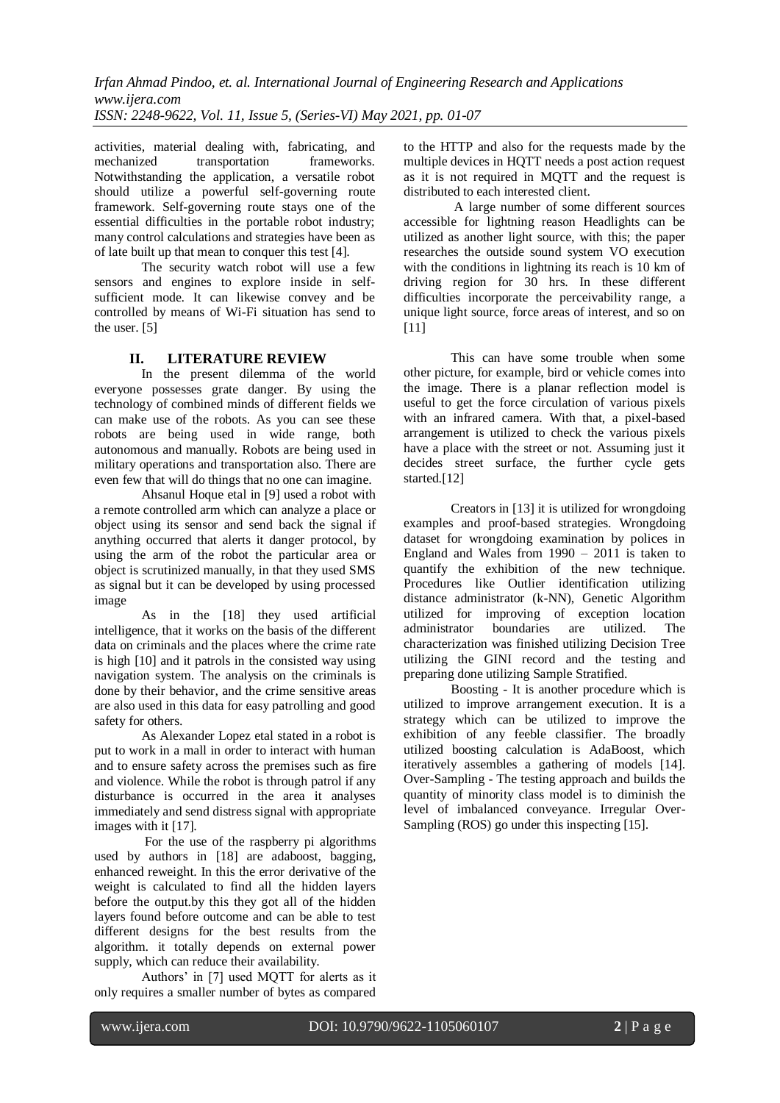activities, material dealing with, fabricating, and mechanized transportation frameworks. Notwithstanding the application, a versatile robot should utilize a powerful self-governing route framework. Self-governing route stays one of the essential difficulties in the portable robot industry; many control calculations and strategies have been as of late built up that mean to conquer this test [4].

The security watch robot will use a few sensors and engines to explore inside in selfsufficient mode. It can likewise convey and be controlled by means of Wi-Fi situation has send to the user. [5]

# **II. LITERATURE REVIEW**

In the present dilemma of the world everyone possesses grate danger. By using the technology of combined minds of different fields we can make use of the robots. As you can see these robots are being used in wide range, both autonomous and manually. Robots are being used in military operations and transportation also. There are even few that will do things that no one can imagine.

Ahsanul Hoque etal in [9] used a robot with a remote controlled arm which can analyze a place or object using its sensor and send back the signal if anything occurred that alerts it danger protocol, by using the arm of the robot the particular area or object is scrutinized manually, in that they used SMS as signal but it can be developed by using processed image

As in the [18] they used artificial intelligence, that it works on the basis of the different data on criminals and the places where the crime rate is high [10] and it patrols in the consisted way using navigation system. The analysis on the criminals is done by their behavior, and the crime sensitive areas are also used in this data for easy patrolling and good safety for others.

As Alexander Lopez etal stated in a robot is put to work in a mall in order to interact with human and to ensure safety across the premises such as fire and violence. While the robot is through patrol if any disturbance is occurred in the area it analyses immediately and send distress signal with appropriate images with it [17].

For the use of the raspberry pi algorithms used by authors in [18] are adaboost, bagging, enhanced reweight. In this the error derivative of the weight is calculated to find all the hidden layers before the output.by this they got all of the hidden layers found before outcome and can be able to test different designs for the best results from the algorithm. it totally depends on external power supply, which can reduce their availability.

Authors' in [7] used MQTT for alerts as it only requires a smaller number of bytes as compared

to the HTTP and also for the requests made by the multiple devices in HQTT needs a post action request as it is not required in MQTT and the request is distributed to each interested client.

A large number of some different sources accessible for lightning reason Headlights can be utilized as another light source, with this; the paper researches the outside sound system VO execution with the conditions in lightning its reach is 10 km of driving region for 30 hrs. In these different difficulties incorporate the perceivability range, a unique light source, force areas of interest, and so on [11]

This can have some trouble when some other picture, for example, bird or vehicle comes into the image. There is a planar reflection model is useful to get the force circulation of various pixels with an infrared camera. With that, a pixel-based arrangement is utilized to check the various pixels have a place with the street or not. Assuming just it decides street surface, the further cycle gets started.[12]

Creators in [13] it is utilized for wrongdoing examples and proof-based strategies. Wrongdoing dataset for wrongdoing examination by polices in England and Wales from 1990 – 2011 is taken to quantify the exhibition of the new technique. Procedures like Outlier identification utilizing distance administrator (k-NN), Genetic Algorithm utilized for improving of exception location administrator boundaries are utilized. The characterization was finished utilizing Decision Tree utilizing the GINI record and the testing and preparing done utilizing Sample Stratified.

Boosting - It is another procedure which is utilized to improve arrangement execution. It is a strategy which can be utilized to improve the exhibition of any feeble classifier. The broadly utilized boosting calculation is AdaBoost, which iteratively assembles a gathering of models [14]. Over-Sampling - The testing approach and builds the quantity of minority class model is to diminish the level of imbalanced conveyance. Irregular Over-Sampling (ROS) go under this inspecting [15].

ֺ֞֝֡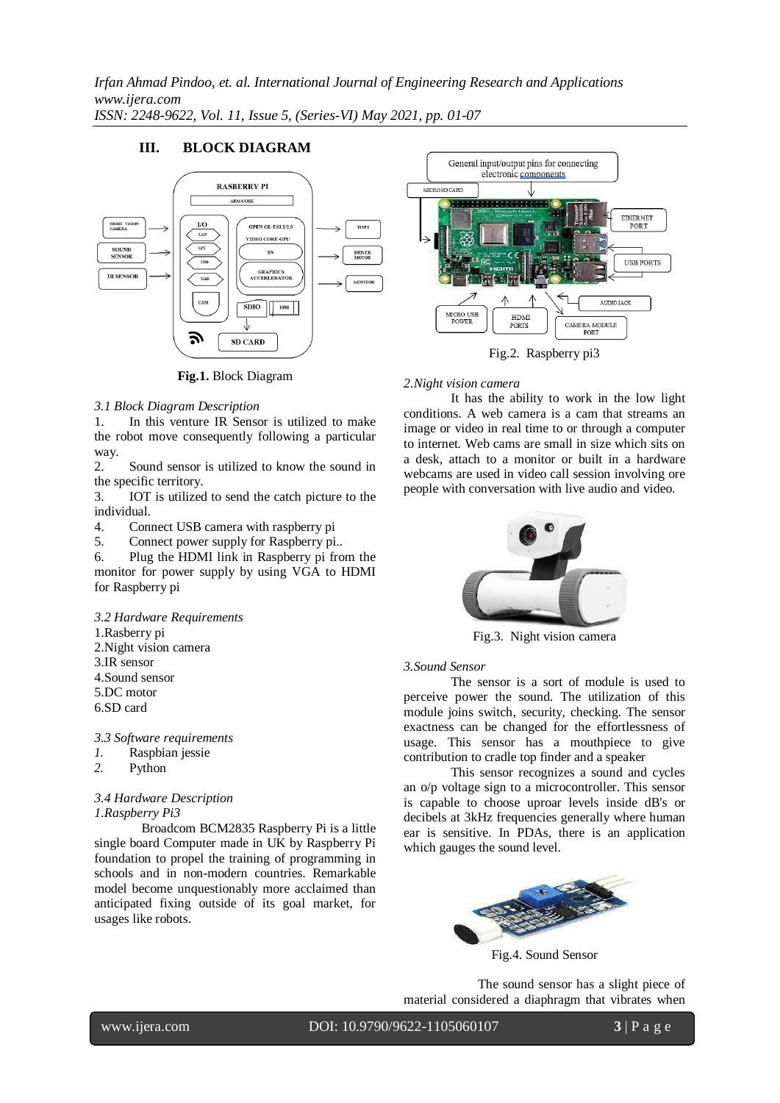# **III. BLOCK DIAGRAM**



**Fig.1.** Block Diagram

## *3.1 Block Diagram Description*

1. In this venture IR Sensor is utilized to make the robot move consequently following a particular way.

2. Sound sensor is utilized to know the sound in the specific territory.

3. IOT is utilized to send the catch picture to the individual.

4. Connect USB camera with raspberry pi

5. Connect power supply for Raspberry pi..

6. Plug the HDMI link in Raspberry pi from the monitor for power supply by using VGA to HDMI for Raspberry pi

*3.2 Hardware Requirements*

1.Rasberry pi

2.Night vision camera

- 3.IR sensor
- 4.Sound sensor
- 5.DC motor
- 6.SD card

*3.3 Software requirements*

- *1.* Raspbian jessie
- *2.* Python

## *3.4 Hardware Description 1.Raspberry Pi3*

Broadcom BCM2835 Raspberry Pi is a little single board Computer made in UK by Raspberry Pi foundation to propel the training of programming in schools and in non-modern countries. Remarkable model become unquestionably more acclaimed than anticipated fixing outside of its goal market, for usages like robots.



Fig.2. Raspberry pi3

## *2.Night vision camera*

It has the ability to work in the low light conditions. A web camera is a cam that streams an image or video in real time to or through a computer to internet. Web cams are small in size which sits on a desk, attach to a monitor or built in a hardware webcams are used in video call session involving ore people with conversation with live audio and video.



Fig.3. Night vision camera

#### *3.Sound Sensor*

The sensor is a sort of module is used to perceive power the sound. The utilization of this module joins switch, security, checking. The sensor exactness can be changed for the effortlessness of usage. This sensor has a mouthpiece to give contribution to cradle top finder and a speaker

This sensor recognizes a sound and cycles an o/p voltage sign to a microcontroller. This sensor is capable to choose uproar levels inside dB's or decibels at 3kHz frequencies generally where human ear is sensitive. In PDAs, there is an application which gauges the sound level.



Fig.4. Sound Sensor

The sound sensor has a slight piece of material considered a diaphragm that vibrates when

ֺ֞֝֡

www.ijera.com DOI: 10.9790/9622-1105060107 **3** | P a g e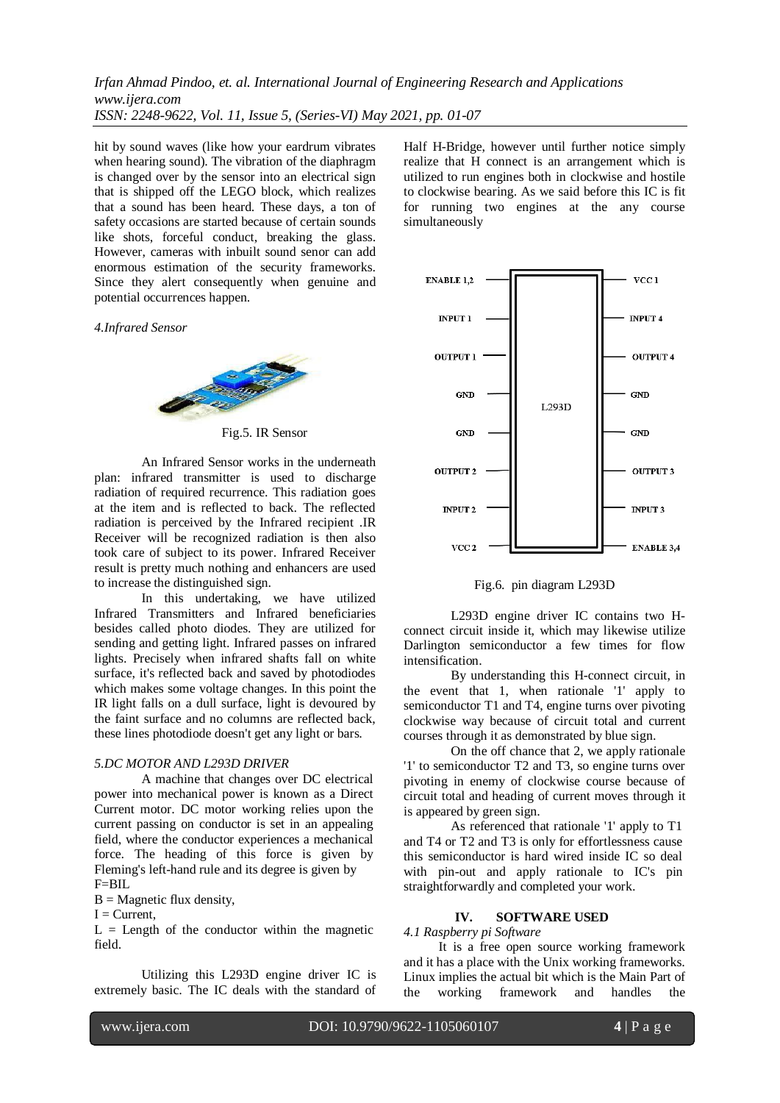hit by sound waves (like how your eardrum vibrates when hearing sound). The vibration of the diaphragm is changed over by the sensor into an electrical sign that is shipped off the LEGO block, which realizes that a sound has been heard. These days, a ton of safety occasions are started because of certain sounds like shots, forceful conduct, breaking the glass. However, cameras with inbuilt sound senor can add enormous estimation of the security frameworks. Since they alert consequently when genuine and potential occurrences happen.

*4.Infrared Sensor*



Fig.5. IR Sensor

An Infrared Sensor works in the underneath plan: infrared transmitter is used to discharge radiation of required recurrence. This radiation goes at the item and is reflected to back. The reflected radiation is perceived by the Infrared recipient .IR Receiver will be recognized radiation is then also took care of subject to its power. Infrared Receiver result is pretty much nothing and enhancers are used to increase the distinguished sign.

In this undertaking, we have utilized Infrared Transmitters and Infrared beneficiaries besides called photo diodes. They are utilized for sending and getting light. Infrared passes on infrared lights. Precisely when infrared shafts fall on white surface, it's reflected back and saved by photodiodes which makes some voltage changes. In this point the IR light falls on a dull surface, light is devoured by the faint surface and no columns are reflected back, these lines photodiode doesn't get any light or bars.

#### *5.DC MOTOR AND L293D DRIVER*

A machine that changes over DC electrical power into mechanical power is known as a Direct Current motor. DC motor working relies upon the current passing on conductor is set in an appealing field, where the conductor experiences a mechanical force. The heading of this force is given by Fleming's left-hand rule and its degree is given by F=BIL

 $B = Magnetic flux density,$ 

 $I = Current$ .

ֺ֞֝֡

 $L =$  Length of the conductor within the magnetic field.

Utilizing this L293D engine driver IC is extremely basic. The IC deals with the standard of

Half H-Bridge, however until further notice simply realize that H connect is an arrangement which is utilized to run engines both in clockwise and hostile to clockwise bearing. As we said before this IC is fit for running two engines at the any course simultaneously



Fig.6. pin diagram L293D

L293D engine driver IC contains two Hconnect circuit inside it, which may likewise utilize Darlington semiconductor a few times for flow intensification.

By understanding this H-connect circuit, in the event that 1, when rationale '1' apply to semiconductor T1 and T4, engine turns over pivoting clockwise way because of circuit total and current courses through it as demonstrated by blue sign.

On the off chance that 2, we apply rationale '1' to semiconductor T2 and T3, so engine turns over pivoting in enemy of clockwise course because of circuit total and heading of current moves through it is appeared by green sign.

As referenced that rationale '1' apply to T1 and T4 or T2 and T3 is only for effortlessness cause this semiconductor is hard wired inside IC so deal with pin-out and apply rationale to IC's pin straightforwardly and completed your work.

#### **IV. SOFTWARE USED**

*4.1 Raspberry pi Software*

It is a free open source working framework and it has a place with the Unix working frameworks. Linux implies the actual bit which is the Main Part of the working framework and handles the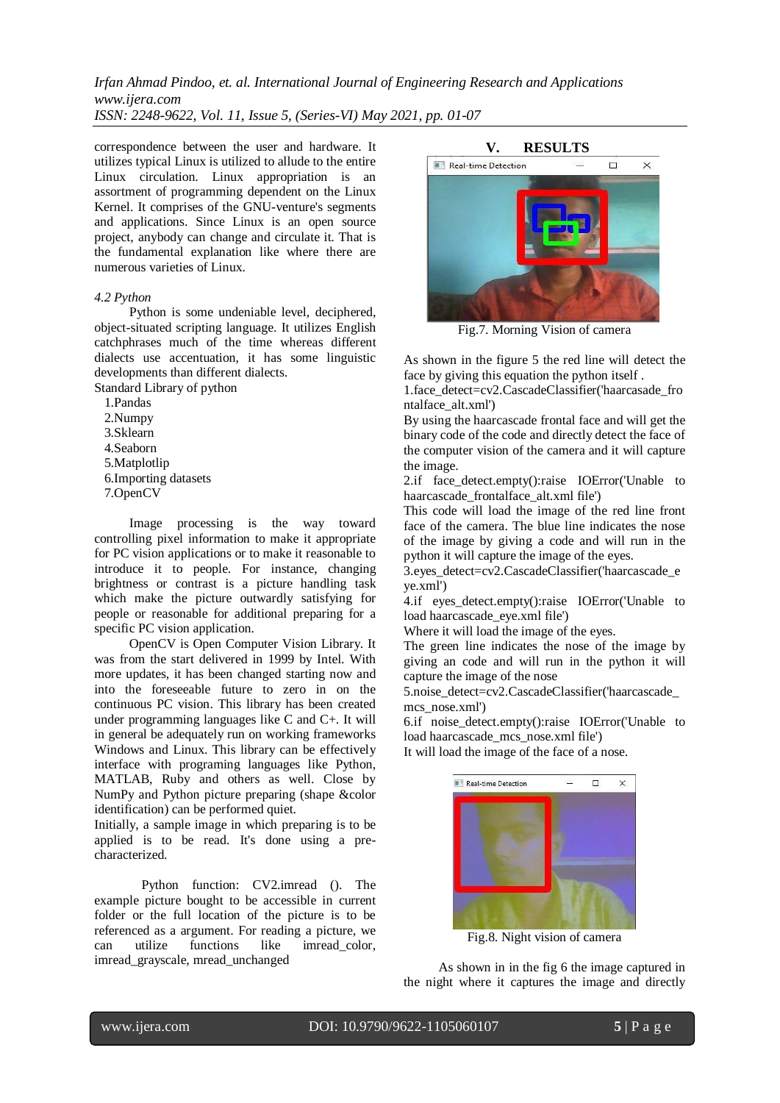correspondence between the user and hardware. It utilizes typical Linux is utilized to allude to the entire Linux circulation. Linux appropriation is an assortment of programming dependent on the Linux Kernel. It comprises of the GNU-venture's segments and applications. Since Linux is an open source project, anybody can change and circulate it. That is the fundamental explanation like where there are numerous varieties of Linux.

#### *4.2 Python*

Python is some undeniable level, deciphered, object-situated scripting language. It utilizes English catchphrases much of the time whereas different dialects use accentuation, it has some linguistic developments than different dialects.

Standard Library of python

1.Pandas

2.Numpy

3.Sklearn

4.Seaborn

5.Matplotlip

6.Importing datasets

7.OpenCV

Image processing is the way toward controlling pixel information to make it appropriate for PC vision applications or to make it reasonable to introduce it to people. For instance, changing brightness or contrast is a picture handling task which make the picture outwardly satisfying for people or reasonable for additional preparing for a specific PC vision application.

OpenCV is Open Computer Vision Library. It was from the start delivered in 1999 by Intel. With more updates, it has been changed starting now and into the foreseeable future to zero in on the continuous PC vision. This library has been created under programming languages like C and C+. It will in general be adequately run on working frameworks Windows and Linux. This library can be effectively interface with programing languages like Python, MATLAB, Ruby and others as well. Close by NumPy and Python picture preparing (shape &color identification) can be performed quiet.

Initially, a sample image in which preparing is to be applied is to be read. It's done using a precharacterized.

Python function: CV2.imread (). The example picture bought to be accessible in current folder or the full location of the picture is to be referenced as a argument. For reading a picture, we can utilize functions like imread\_color, imread\_grayscale, mread\_unchanged



Fig.7. Morning Vision of camera

As shown in the figure 5 the red line will detect the face by giving this equation the python itself .

1.face\_detect=cv2.CascadeClassifier('haarcasade\_fro ntalface\_alt.xml')

By using the haarcascade frontal face and will get the binary code of the code and directly detect the face of the computer vision of the camera and it will capture the image.

2.if face detect.empty():raise IOError('Unable to haarcascade\_frontalface\_alt.xml file')

This code will load the image of the red line front face of the camera. The blue line indicates the nose of the image by giving a code and will run in the python it will capture the image of the eyes.

3.eyes\_detect=cv2.CascadeClassifier('haarcascade\_e ye.xml')

4.if eyes\_detect.empty():raise IOError('Unable to load haarcascade\_eye.xml file')

Where it will load the image of the eyes.

The green line indicates the nose of the image by giving an code and will run in the python it will capture the image of the nose

5.noise\_detect=cv2.CascadeClassifier('haarcascade\_ mcs\_nose.xml')

6.if noise\_detect.empty():raise IOError('Unable to load haarcascade\_mcs\_nose.xml file') It will load the image of the face of a nose.



Fig.8. Night vision of camera

As shown in in the fig 6 the image captured in the night where it captures the image and directly

ֺ֞֝֡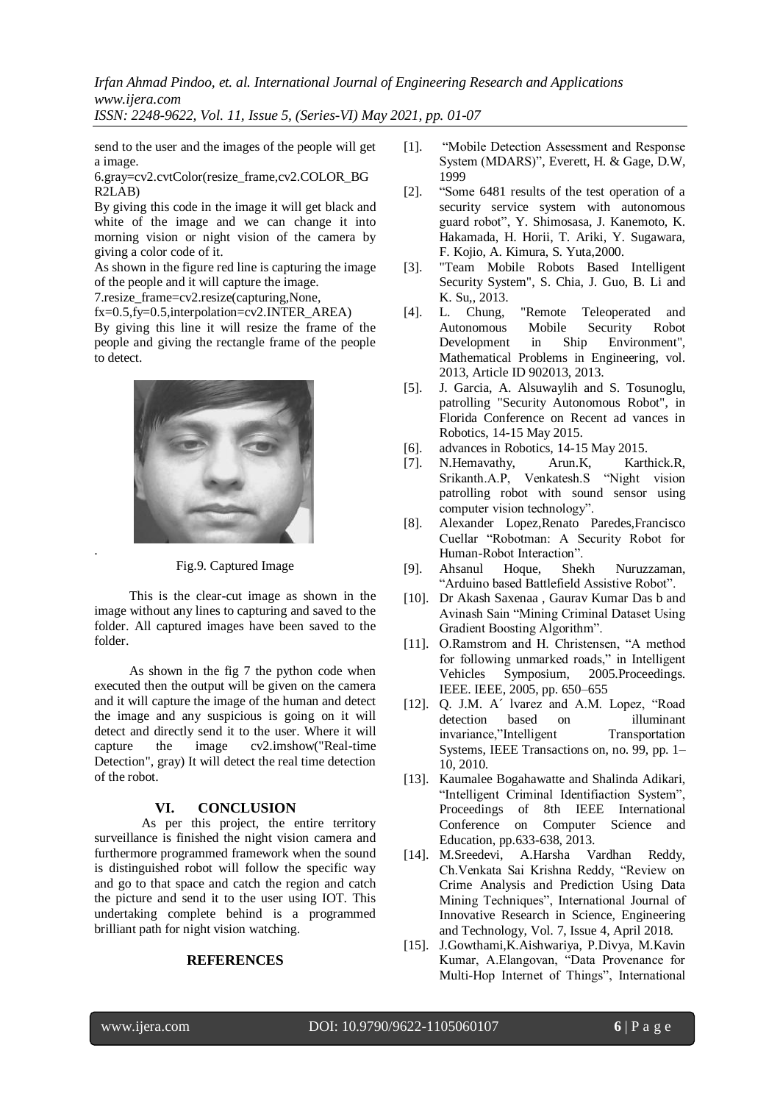*Irfan Ahmad Pindoo, et. al. International Journal of Engineering Research and Applications www.ijera.com*

*ISSN: 2248-9622, Vol. 11, Issue 5, (Series-VI) May 2021, pp. 01-07*

send to the user and the images of the people will get a image.

6.gray=cv2.cvtColor(resize\_frame,cv2.COLOR\_BG R2LAB)

By giving this code in the image it will get black and white of the image and we can change it into morning vision or night vision of the camera by giving a color code of it.

As shown in the figure red line is capturing the image of the people and it will capture the image.

7. resize frame=cv2.resize(capturing,None,

 $fx=0.5$ ,  $fv=0.5$ , interpolation=cv2. INTER AREA)

By giving this line it will resize the frame of the people and giving the rectangle frame of the people to detect.



Fig.9. Captured Image

This is the clear-cut image as shown in the image without any lines to capturing and saved to the folder. All captured images have been saved to the folder.

As shown in the fig 7 the python code when executed then the output will be given on the camera and it will capture the image of the human and detect the image and any suspicious is going on it will detect and directly send it to the user. Where it will capture the image cv2.imshow("Real-time Detection", gray) It will detect the real time detection of the robot.

## **VI. CONCLUSION**

As per this project, the entire territory surveillance is finished the night vision camera and furthermore programmed framework when the sound is distinguished robot will follow the specific way and go to that space and catch the region and catch the picture and send it to the user using IOT. This undertaking complete behind is a programmed brilliant path for night vision watching.

## **REFERENCES**

- [1]. "Mobile Detection Assessment and Response System (MDARS)", Everett, H. & Gage, D.W, 1999
- [2]. "Some 6481 results of the test operation of a security service system with autonomous guard robot", Y. Shimosasa, J. Kanemoto, K. Hakamada, H. Horii, T. Ariki, Y. Sugawara, F. Kojio, A. Kimura, S. Yuta,2000.
- [3]. "Team Mobile Robots Based Intelligent Security System", S. Chia, J. Guo, B. Li and K. Su,, 2013.
- [4]. L. Chung, "Remote Teleoperated and Autonomous Mobile Security Robot Development in Ship Environment", Mathematical Problems in Engineering, vol. 2013, Article ID 902013, 2013.
- [5]. J. Garcia, A. Alsuwaylih and S. Tosunoglu, patrolling "Security Autonomous Robot", in Florida Conference on Recent ad vances in Robotics, 14-15 May 2015.
- [6]. advances in Robotics, 14-15 May 2015.
- [7]. N.Hemavathy, Arun.K, Karthick.R, Srikanth.A.P, Venkatesh.S "Night vision patrolling robot with sound sensor using computer vision technology".
- [8]. Alexander Lopez,Renato Paredes,Francisco Cuellar "Robotman: A Security Robot for Human-Robot Interaction".
- [9]. Ahsanul Hoque, Shekh Nuruzzaman, "Arduino based Battlefield Assistive Robot".
- [10]. Dr Akash Saxenaa , Gaurav Kumar Das b and Avinash Sain "Mining Criminal Dataset Using Gradient Boosting Algorithm".
- [11]. O.Ramstrom and H. Christensen, "A method for following unmarked roads," in Intelligent Vehicles Symposium, 2005.Proceedings. IEEE. IEEE, 2005, pp. 650–655
- [12]. Q. J.M. A´ lvarez and A.M. Lopez, "Road detection based on illuminant invariance,"Intelligent Transportation Systems, IEEE Transactions on, no. 99, pp. 1– 10, 2010.
- [13]. Kaumalee Bogahawatte and Shalinda Adikari, "Intelligent Criminal Identifiaction System", Proceedings of 8th IEEE International Conference on Computer Science and Education, pp.633-638, 2013.
- [14]. M.Sreedevi, A.Harsha Vardhan Reddy, Ch.Venkata Sai Krishna Reddy, "Review on Crime Analysis and Prediction Using Data Mining Techniques", International Journal of Innovative Research in Science, Engineering and Technology, Vol. 7, Issue 4, April 2018.
- [15]. J.Gowthami,K.Aishwariya, P.Divya, M.Kavin Kumar, A.Elangovan, "Data Provenance for Multi-Hop Internet of Things", International

ֺ֞֝֡

.